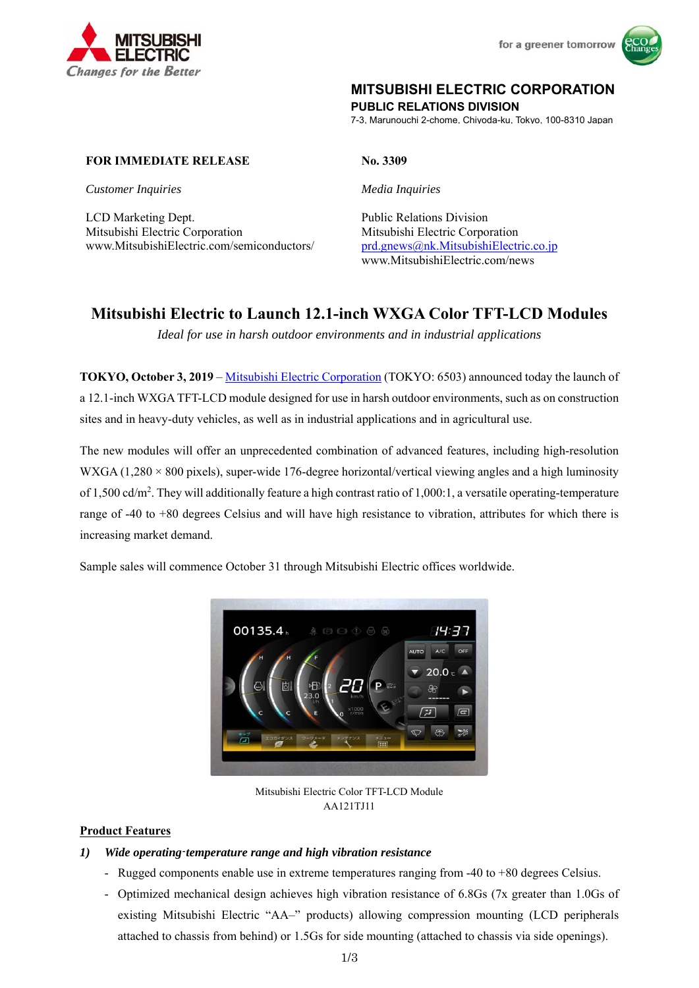



## **MITSUBISHI ELECTRIC CORPORATION**

**PUBLIC RELATIONS DIVISION** 

7-3, Marunouchi 2-chome, Chiyoda-ku, Tokyo, 100-8310 Japan

## **FOR IMMEDIATE RELEASE No. 3309**

*Customer Inquiries Media Inquiries*

LCD Marketing Dept. Public Relations Division Mitsubishi Electric Corporation Mitsubishi Electric Corporation www.MitsubishiElectric.com/semiconductors/ prd.gnews@nk.MitsubishiElectric.co.jp

www.MitsubishiElectric.com/news

## **Mitsubishi Electric to Launch 12.1-inch WXGA Color TFT-LCD Modules**

*Ideal for use in harsh outdoor environments and in industrial applications* 

**TOKYO, October 3, 2019** – Mitsubishi Electric Corporation (TOKYO: 6503) announced today the launch of a 12.1-inch WXGA TFT-LCD module designed for use in harsh outdoor environments, such as on construction sites and in heavy-duty vehicles, as well as in industrial applications and in agricultural use.

The new modules will offer an unprecedented combination of advanced features, including high-resolution WXGA (1,280  $\times$  800 pixels), super-wide 176-degree horizontal/vertical viewing angles and a high luminosity of 1,500 cd/m<sup>2</sup>. They will additionally feature a high contrast ratio of 1,000:1, a versatile operating-temperature range of -40 to +80 degrees Celsius and will have high resistance to vibration, attributes for which there is increasing market demand.

Sample sales will commence October 31 through Mitsubishi Electric offices worldwide.



Mitsubishi Electric Color TFT-LCD Module AA121TJ11

## **Product Features**

## *1) Wide operating*-*temperature range and high vibration resistance*

- Rugged components enable use in extreme temperatures ranging from -40 to +80 degrees Celsius.
- Optimized mechanical design achieves high vibration resistance of 6.8Gs (7x greater than 1.0Gs of existing Mitsubishi Electric "AA–" products) allowing compression mounting (LCD peripherals attached to chassis from behind) or 1.5Gs for side mounting (attached to chassis via side openings).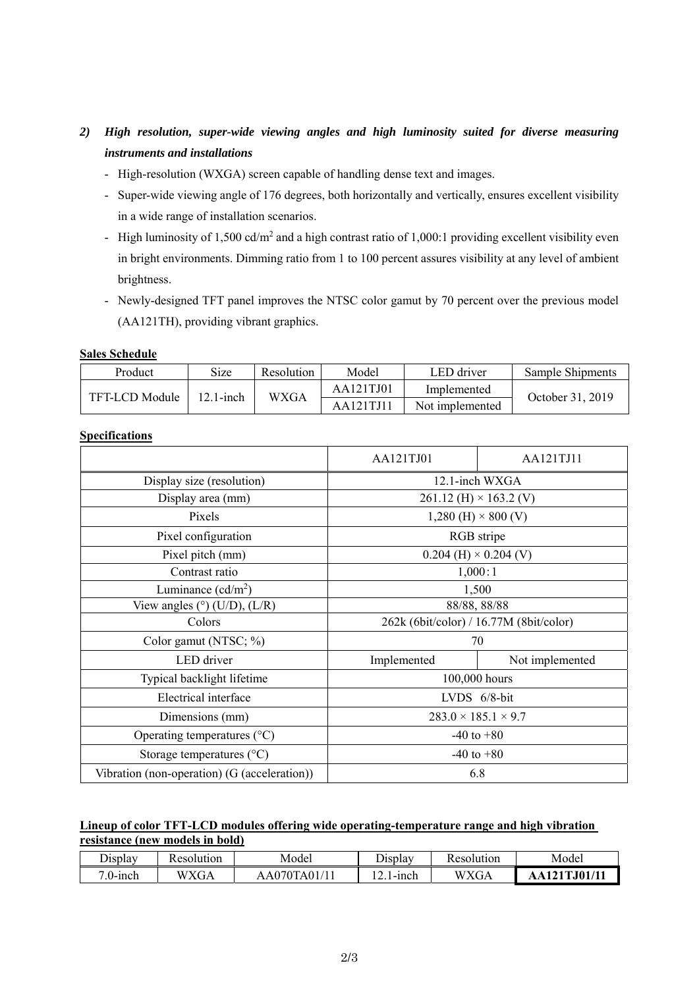# *2) High resolution, super-wide viewing angles and high luminosity suited for diverse measuring instruments and installations*

- High-resolution (WXGA) screen capable of handling dense text and images.
- Super-wide viewing angle of 176 degrees, both horizontally and vertically, ensures excellent visibility in a wide range of installation scenarios.
- High luminosity of 1,500 cd/m<sup>2</sup> and a high contrast ratio of 1,000:1 providing excellent visibility even in bright environments. Dimming ratio from 1 to 100 percent assures visibility at any level of ambient brightness.
- Newly-designed TFT panel improves the NTSC color gamut by 70 percent over the previous model (AA121TH), providing vibrant graphics.

### **Sales Schedule**

| Product        | <b>Size</b> | Resolution  | Model     | LED driver      | Sample Shipments |  |
|----------------|-------------|-------------|-----------|-----------------|------------------|--|
| TFT-LCD Module | 12.1-inch   | <b>WXGA</b> | AA121TJ01 | Implemented     | October 31, 2019 |  |
|                |             |             | AA121TJ11 | Not implemented |                  |  |

## **Specifications**

|                                              | AA121TJ01                               | AA121TJ11       |  |  |
|----------------------------------------------|-----------------------------------------|-----------------|--|--|
| Display size (resolution)                    | 12.1-inch WXGA                          |                 |  |  |
| Display area (mm)                            | 261.12 (H) $\times$ 163.2 (V)           |                 |  |  |
| Pixels                                       | 1,280 (H) $\times$ 800 (V)              |                 |  |  |
| Pixel configuration                          | RGB stripe                              |                 |  |  |
| Pixel pitch (mm)                             | $0.204$ (H) $\times$ 0.204 (V)          |                 |  |  |
| Contrast ratio                               | 1,000:1                                 |                 |  |  |
| Luminance $(cd/m^2)$                         | 1,500                                   |                 |  |  |
| View angles $(°)$ (U/D), (L/R)               | 88/88, 88/88                            |                 |  |  |
| Colors                                       | 262k (6bit/color) / 16.77M (8bit/color) |                 |  |  |
| Color gamut (NTSC; %)                        | 70                                      |                 |  |  |
| LED driver                                   | Implemented                             | Not implemented |  |  |
| Typical backlight lifetime                   | 100,000 hours                           |                 |  |  |
| Electrical interface                         | LVDS 6/8-bit                            |                 |  |  |
| Dimensions (mm)                              | $283.0 \times 185.1 \times 9.7$         |                 |  |  |
| Operating temperatures (°C)                  | $-40$ to $+80$                          |                 |  |  |
| Storage temperatures $({}^{\circ}C)$         |                                         | $-40$ to $+80$  |  |  |
| Vibration (non-operation) (G (acceleration)) |                                         | 6.8             |  |  |

## **Lineup of color TFT-LCD modules offering wide operating-temperature range and high vibration resistance (new models in bold)**

| Display∟ | Kesolution  | Model                | Jisplay    | Resolution  | Model  |
|----------|-------------|----------------------|------------|-------------|--------|
| .0-inch  | WXG.<br>AUA | `A01,<br>70T.<br>AAU | -inch<br>. | <b>WXGA</b> | J01/11 |